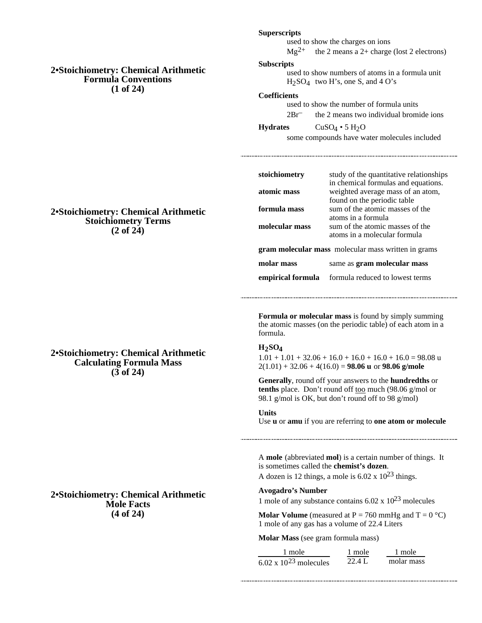## **2•Stoichiometry: Chemical Arithmetic Formula Conventions (1 of 24)**

#### **Superscripts**

used to show the charges on ions  $Mg^{2+}$  the 2 means a 2+ charge (lost 2 electrons)

#### **Subscripts**

used to show numbers of atoms in a formula unit  $H<sub>2</sub>SO<sub>4</sub>$  two H's, one S, and 4 O's

#### **Coefficients**

used to show the number of formula units 2Br– the 2 means two individual bromide ions

**Hydrates** CuSO<sub>4</sub> • 5 H<sub>2</sub>O

some compounds have water molecules included

| stoichiometry                                              | study of the quantitative relationships |  |
|------------------------------------------------------------|-----------------------------------------|--|
|                                                            | in chemical formulas and equations.     |  |
| atomic mass                                                | weighted average mass of an atom,       |  |
|                                                            | found on the periodic table             |  |
| formula mass                                               | sum of the atomic masses of the         |  |
|                                                            | atoms in a formula                      |  |
| molecular mass                                             | sum of the atomic masses of the         |  |
|                                                            | atoms in a molecular formula            |  |
| <b>gram molecular mass</b> molecular mass written in grams |                                         |  |
| molar mass                                                 | same as <b>gram molecular mass</b>      |  |
| empirical formula                                          | formula reduced to lowest terms         |  |

**Formula or molecular mass** is found by simply summing the atomic masses (on the periodic table) of each atom in a formula.

#### **H2SO4**

 $1.01 + 1.01 + 32.06 + 16.0 + 16.0 + 16.0 + 16.0 = 98.08$  u  $2(1.01) + 32.06 + 4(16.0) = 98.06$  u or 98.06 g/mole

**Generally**, round off your answers to the **hundredths** or tenths place. Don't round off too much (98.06 g/mol or 98.1 g/mol is OK, but don't round off to 98 g/mol)

#### **Units**

Use **u** or **amu** if you are referring to **one atom or molecule**

A **mole** (abbreviated **mol**) is a certain number of things. It is sometimes called the **chemist's dozen**.

A dozen is 12 things, a mole is  $6.02 \times 10^{23}$  things.

# **Avogadro's Number**

1 mole of any substance contains  $6.02 \times 10^{23}$  molecules

**Molar Volume** (measured at  $P = 760$  mmHg and  $T = 0$  °C) 1 mole of any gas has a volume of 22.4 Liters

**Molar Mass** (see gram formula mass)

| 1 mole                          | 1 mole   | 1 mole     |
|---------------------------------|----------|------------|
| $6.02 \times 10^{23}$ molecules | $22.4$ L | molar mass |

**2•Stoichiometry: Chemical Arithmetic Stoichiometry Terms (2 of 24)**

**2•Stoichiometry: Chemical Arithmetic Calculating Formula Mass (3 of 24)**

## **2•Stoichiometry: Chemical Arithmetic Mole Facts (4 of 24)**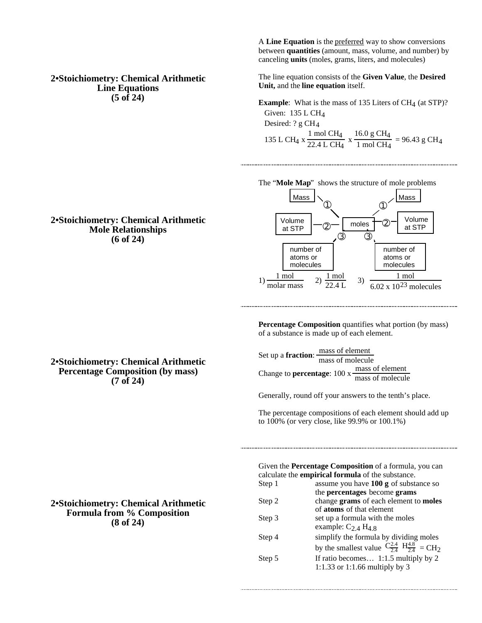#### **2•Stoichiometry: Chemical Arithmetic Line Equations (5 of 24)**

A **Line Equation** is the preferred way to show conversions between **quantities** (amount, mass, volume, and number) by canceling **units** (moles, grams, liters, and molecules)

The line equation consists of the **Given Value**, the **Desired Unit,** and the **line equation** itself.

**Example**: What is the mass of 135 Liters of CH<sub>4</sub> (at STP)? Given: 135 L CH4 Desired: ? g CH4 135 L CH4 x 1 mol CH4  $\frac{1 \text{ mol } CH_4}{22.4 \text{ L } CH_4}$  x  $\frac{16.0 \text{ g } CH_4}{1 \text{ mol } CH_4}$  $\frac{1 \text{ mol } \text{CH}_4}{1 \text{ mol } \text{CH}_4}$  = 96.43 g CH<sub>4</sub>



**Percentage Composition** quantifies what portion (by mass) of a substance is made up of each element.

Set up a **fraction**: <u>mass of element</u> mass of molecule Change to **percentage**: 100 x  $\frac{\text{mass of element}}{\text{mass of molecule}}$ 

Generally, round off your answers to the tenth's place.

The percentage compositions of each element should add up to 100% (or very close, like 99.9% or 100.1%)

Given the **Percentage Composition** of a formula, you can calculate the **empirical formula** of the substance.

| Step 1 | assume you have $100 g$ of substance so                                                   |
|--------|-------------------------------------------------------------------------------------------|
|        | the percentages become grams                                                              |
| Step 2 | change grams of each element to moles                                                     |
|        | of atoms of that element                                                                  |
| Step 3 | set up a formula with the moles                                                           |
|        | example: $C_{2,4}$ H <sub>4.8</sub>                                                       |
| Step 4 | simplify the formula by dividing moles                                                    |
|        | by the smallest value $\frac{C_{2.4}^{2.4}}{2.4}$ $\frac{H_{4.8}}{2.4}$ = CH <sub>2</sub> |
| Step 5 | If ratio becomes 1:1.5 multiply by 2                                                      |
|        | 1:1.33 or 1:1.66 multiply by 3                                                            |
|        |                                                                                           |

### **2•Stoichiometry: Chemical Arithmetic Mole Relationships (6 of 24)**

**2•Stoichiometry: Chemical Arithmetic Percentage Composition (by mass) (7 of 24)**

**2•Stoichiometry: Chemical Arithmetic Formula from % Composition (8 of 24)**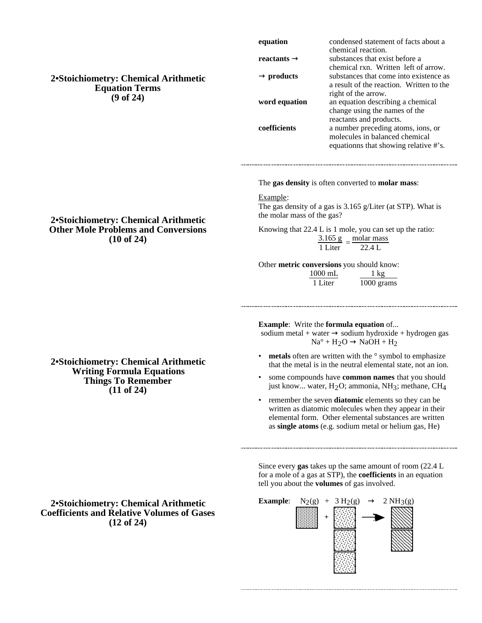**2•Stoichiometry: Chemical Arithmetic Equation Terms (9 of 24)**

**2•Stoichiometry: Chemical Arithmetic Other Mole Problems and Conversions (10 of 24)**

| equation      | condensed statement of facts about a                                                         |
|---------------|----------------------------------------------------------------------------------------------|
| reactants     | chemical reaction.<br>substances that exist before a<br>chemical rxn. Written left of arrow. |
| products      | substances that come into existence as                                                       |
|               | a result of the reaction. Written to the                                                     |
|               | right of the arrow.                                                                          |
| word equation | an equation describing a chemical                                                            |
|               | change using the names of the                                                                |
|               | reactants and products.                                                                      |
| coefficients  | a number preceding atoms, ions, or                                                           |
|               | molecules in balanced chemical                                                               |
|               | equationns that showing relative #'s.                                                        |
|               |                                                                                              |

The **gas density** is often converted to **molar mass**:

Example:

The gas density of a gas is 3.165 g/Liter (at STP). What is the molar mass of the gas?

Knowing that 22.4 L is 1 mole, you can set up the ratio:

3.165 g molar mass 1 Liter<sup>=</sup> 22.4 L

Other **metric conversions** you should know:

| $1000 \text{ mL}$ | $1 \text{ kg}$ |
|-------------------|----------------|
| 1 Liter           | 1000 grams     |

**Example**: Write the **formula equation** of...

sodium metal + water sodium hydroxide + hydrogen gas<br>  $Na^{\circ} + H_2O$   $NaOH + H_2$  $NaOH + H<sub>2</sub>$ 

- **metals** often are written with the  $\circ$  symbol to emphasize that the metal is in the neutral elemental state, not an ion.
- some compounds have **common names** that you should just know... water,  $H_2O$ ; ammonia, NH<sub>3</sub>; methane, CH<sub>4</sub>
- remember the seven **diatomic** elements so they can be written as diatomic molecules when they appear in their elemental form. Other elemental substances are written as **single atoms** (e.g. sodium metal or helium gas, He)

Since every **gas** takes up the same amount of room (22.4 L for a mole of a gas at STP), the **coefficients** in an equation tell you about the **volumes** of gas involved.



**2•Stoichiometry: Chemical Arithmetic Writing Formula Equations Things To Remember**

**(11 of 24)**

**2•Stoichiometry: Chemical Arithmetic Coefficients and Relative Volumes of Gases (12 of 24)**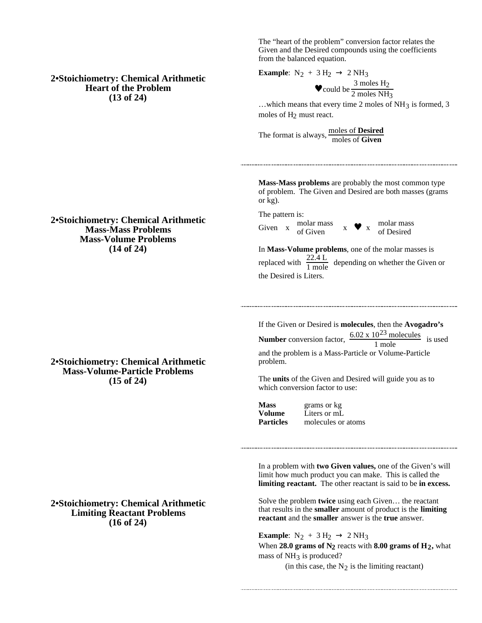The "heart of the problem" conversion factor relates the Given and the Desired compounds using the coefficients from the balanced equation.

**Example:**  $N_2 + 3 H_2$  $\bullet$  could be  $\frac{3 \text{ moles H}_2}{2 \text{ moles MII}}$ 2 moles NH3

...which means that every time 2 moles of  $NH_3$  is formed, 3 moles of  $H_2$  must react.

The format is always, moles of **Desired** moles of **Given**

**Mass-Mass problems** are probably the most common type of problem. The Given and Desired are both masses (grams or kg).

The pattern is: Given x molar mass<br>
of Given x  $\bullet$  x molar mass<br>
of Desired of Desired

In **Mass-Volume problems**, one of the molar masses is replaced with  $\frac{22.4 \text{ L}}{1 \text{ mole}}$  depending on whether the Given or the Desired is Liters.

If the Given or Desired is **molecules**, then the **Avogadro's Number** conversion factor,  $\frac{6.02 \times 10^{23} \text{ molecules}}{1 \text{ mole}}$  is used and the problem is a Mass-Particle or Volume-Particle problem.

The **units** of the Given and Desired will guide you as to which conversion factor to use:

**Mass** grams or kg **Volume** Liters or mL

**Particles** molecules or atoms

In a problem with **two Given values,** one of the Given's will limit how much product you can make. This is called the **limiting reactant.** The other reactant is said to be **in excess.**

Solve the problem **twice** using each Given… the reactant that results in the **smaller** amount of product is the **limiting reactant** and the **smaller** answer is the **true** answer.

**Example:**  $N_2 + 3 H_2$  2 NH<sub>3</sub> When **28.0 grams of N2** reacts with **8.00 grams of H2,** what mass of  $NH<sub>3</sub>$  is produced? (in this case, the  $N_2$  is the limiting reactant)

#### **2•Stoichiometry: Chemical Arithmetic Mass-Mass Problems Mass-Volume Problems (14 of 24)**

**2•Stoichiometry: Chemical Arithmetic Mass-Volume-Particle Problems (15 of 24)**

**2•Stoichiometry: Chemical Arithmetic Limiting Reactant Problems (16 of 24)**

# **2•Stoichiometry: Chemical Arithmetic Heart of the Problem (13 of 24)**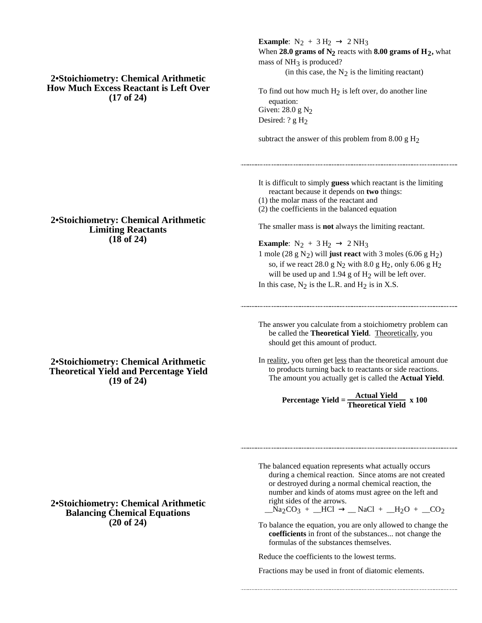**2•Stoichiometry: Chemical Arithmetic How Much Excess Reactant is Left Over (17 of 24)**

**2•Stoichiometry: Chemical Arithmetic Limiting Reactants (18 of 24)**

**2•Stoichiometry: Chemical Arithmetic Theoretical Yield and Percentage Yield (19 of 24)**

**Example**:  $N_2 + 3 H_2$  2 NH<sub>3</sub> When **28.0 grams of N2** reacts with **8.00 grams of H2,** what mass of  $NH<sub>3</sub>$  is produced? (in this case, the  $N_2$  is the limiting reactant)

To find out how much  $H_2$  is left over, do another line equation: Given: 28.0 g N<sub>2</sub> Desired: ? g H<sub>2</sub>

subtract the answer of this problem from  $8.00 \text{ g H}_2$ 

It is difficult to simply **guess** which reactant is the limiting reactant because it depends on **two** things: (1) the molar mass of the reactant and

(2) the coefficients in the balanced equation

The smaller mass is **not** always the limiting reactant.

**Example:**  $N_2 + 3 H_2$  2 NH<sub>3</sub> 1 mole (28 g N<sub>2</sub>) will **just react** with 3 moles (6.06 g H<sub>2</sub>) so, if we react 28.0 g  $N_2$  with 8.0 g  $H_2$ , only 6.06 g  $H_2$ will be used up and  $1.94$  g of  $H_2$  will be left over. In this case,  $N_2$  is the L.R. and  $H_2$  is in X.S.

The answer you calculate from a stoichiometry problem can be called the **Theoretical Yield**. Theoretically, you should get this amount of product.

In reality, you often get less than the theoretical amount due to products turning back to reactants or side reactions. The amount you actually get is called the **Actual Yield**.

$$
Percentage Yield = \frac{Actual Yield}{Theoretical Yield} \times 100
$$

## **2•Stoichiometry: Chemical Arithmetic Balancing Chemical Equations (20 of 24)**

The balanced equation represents what actually occurs during a chemical reaction. Since atoms are not created or destroyed during a normal chemical reaction, the number and kinds of atoms must agree on the left and right sides of the arrows.

 $Na_2CO_3 + LICl$   $NaCl + Lq_2O + CQ_2$ 

To balance the equation, you are only allowed to change the **coefficients** in front of the substances... not change the formulas of the substances themselves.

Reduce the coefficients to the lowest terms.

Fractions may be used in front of diatomic elements.